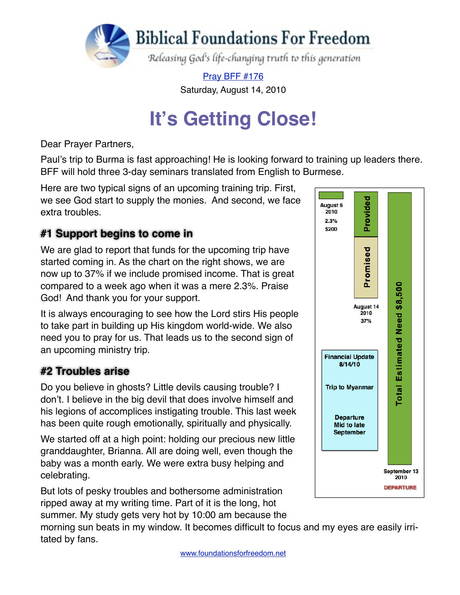

[Pray BFF #176](http://www.foundationsforfreedom.net/Help/TeamsF/Pray/Archives/Pray2010/pdf/PrayBFF176.pdf)

Saturday, August 14, 2010

# **It's Getting Close!**

Dear Prayer Partners,

Paul's trip to Burma is fast approaching! He is looking forward to training up leaders there. BFF will hold three 3-day seminars translated from English to Burmese.

Here are two typical signs of an upcoming training trip. First, we see God start to supply the monies. And second, we face extra troubles.

#### **#1 Support begins to come in**

We are glad to report that funds for the upcoming trip have started coming in. As the chart on the right shows, we are now up to 37% if we include promised income. That is great compared to a week ago when it was a mere 2.3%. Praise God! And thank you for your support.

It is always encouraging to see how the Lord stirs His people to take part in building up His kingdom world-wide. We also need you to pray for us. That leads us to the second sign of an upcoming ministry trip.

#### **#2 Troubles arise**

Do you believe in ghosts? Little devils causing trouble? I don't. I believe in the big devil that does involve himself and his legions of accomplices instigating trouble. This last week has been quite rough emotionally, spiritually and physically.

We started off at a high point: holding our precious new little granddaughter, Brianna. All are doing well, even though the baby was a month early. We were extra busy helping and celebrating.

But lots of pesky troubles and bothersome administration ripped away at my writing time. Part of it is the long, hot summer. My study gets very hot by 10:00 am because the

Provided **August 6** 2010 2.3% \$200 Promised Estimated Need \$8,500 **August 14** 2010  $37%$ **Financial Update** 8/14/10 **Total Trip to Myanmar Departure Mid to late September** September 13 2010 **DEPARTURE** 

morning sun beats in my window. It becomes difficult to focus and my eyes are easily irritated by fans.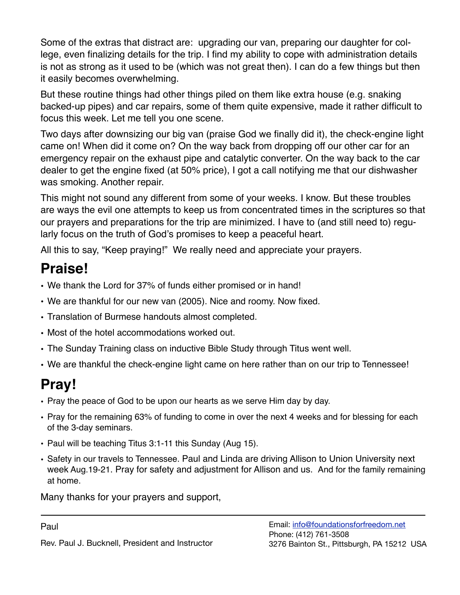Some of the extras that distract are: upgrading our van, preparing our daughter for college, even finalizing details for the trip. I find my ability to cope with administration details is not as strong as it used to be (which was not great then). I can do a few things but then it easily becomes overwhelming.

But these routine things had other things piled on them like extra house (e.g. snaking backed-up pipes) and car repairs, some of them quite expensive, made it rather difficult to focus this week. Let me tell you one scene.

Two days after downsizing our big van (praise God we finally did it), the check-engine light came on! When did it come on? On the way back from dropping off our other car for an emergency repair on the exhaust pipe and catalytic converter. On the way back to the car dealer to get the engine fixed (at 50% price), I got a call notifying me that our dishwasher was smoking. Another repair.

This might not sound any different from some of your weeks. I know. But these troubles are ways the evil one attempts to keep us from concentrated times in the scriptures so that our prayers and preparations for the trip are minimized. I have to (and still need to) regularly focus on the truth of God's promises to keep a peaceful heart.

All this to say, "Keep praying!" We really need and appreciate your prayers.

### **Praise!**

- We thank the Lord for 37% of funds either promised or in hand!
- We are thankful for our new van (2005). Nice and roomy. Now fixed.
- Translation of Burmese handouts almost completed.
- Most of the hotel accommodations worked out.
- The Sunday Training class on inductive Bible Study through Titus went well.
- We are thankful the check-engine light came on here rather than on our trip to Tennessee!

## **Pray!**

- Pray the peace of God to be upon our hearts as we serve Him day by day.
- Pray for the remaining 63% of funding to come in over the next 4 weeks and for blessing for each of the 3-day seminars.
- Paul will be teaching Titus 3:1-11 this Sunday (Aug 15).
- Safety in our travels to Tennessee. Paul and Linda are driving Allison to Union University next week Aug.19-21. Pray for safety and adjustment for Allison and us. And for the family remaining at home.

Many thanks for your prayers and support,

Rev. Paul J. Bucknell, President and Instructor